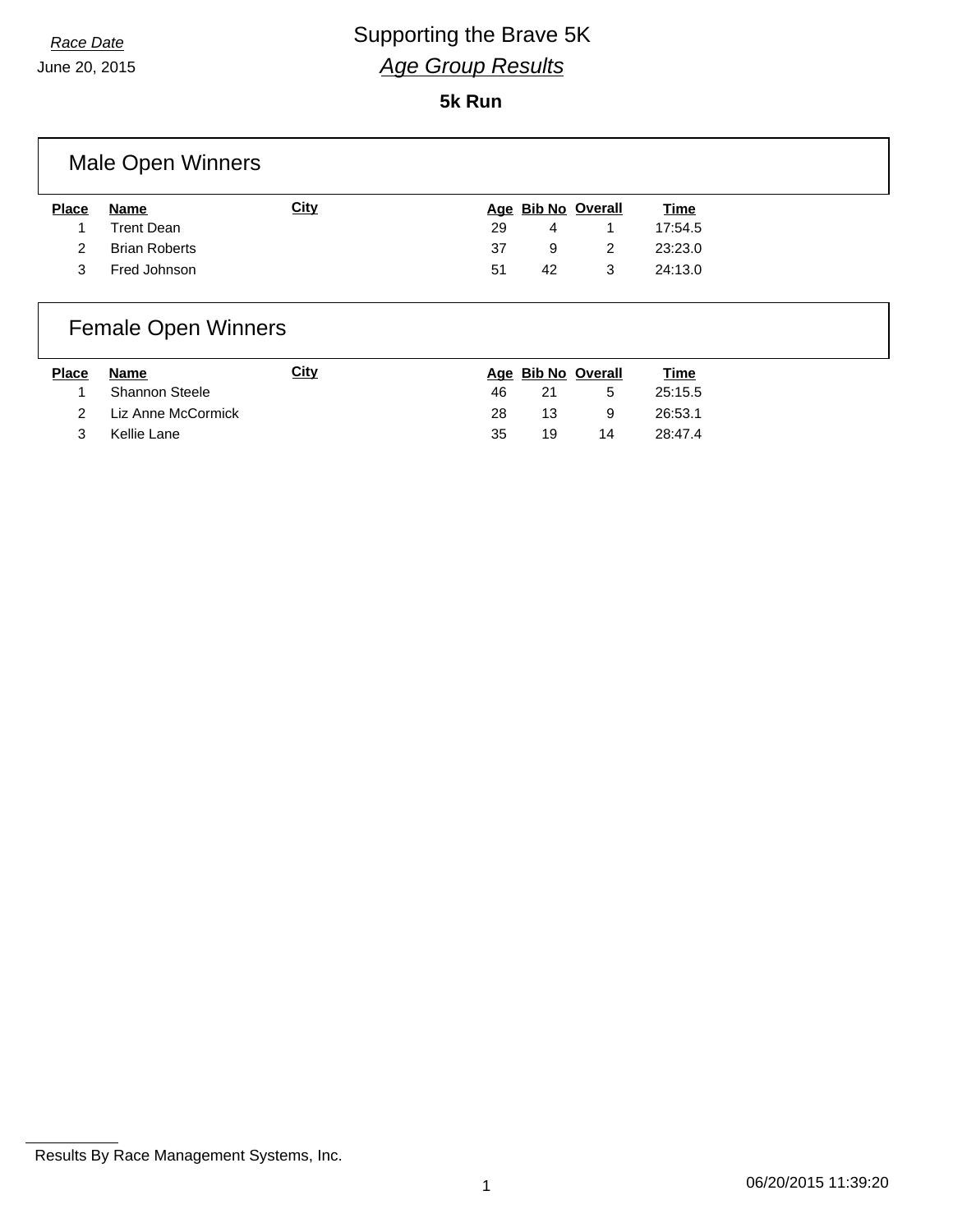## *Race Date* **CONSCRUPTED Supporting the Brave 5K** *Age Group Results*

June 20, 2015

#### **5k Run**

### Male Open Winners

| Name                 | <b>City</b> |     |    |   | <u>Time</u>               |
|----------------------|-------------|-----|----|---|---------------------------|
| <b>Trent Dean</b>    |             | -29 | 4  |   | 17:54.5                   |
| <b>Brian Roberts</b> |             | 37  |    |   | 23:23.0                   |
| Fred Johnson         |             | 51  | 42 | 3 | 24:13.0                   |
|                      |             |     |    |   | Age Bib No Overall<br>- 9 |

### Female Open Winners

| <b>Place</b> | Name                 | City |     |    | Age Bib No Overall | <u>Time</u> |
|--------------|----------------------|------|-----|----|--------------------|-------------|
|              | Shannon Steele       |      | 46. | 21 | -5                 | 25:15.5     |
|              | 2 Liz Anne McCormick |      | 28  | 13 | -9                 | 26:53.1     |
|              | Kellie Lane          |      | 35  | 19 | 14                 | 28:47.4     |

Results By Race Management Systems, Inc.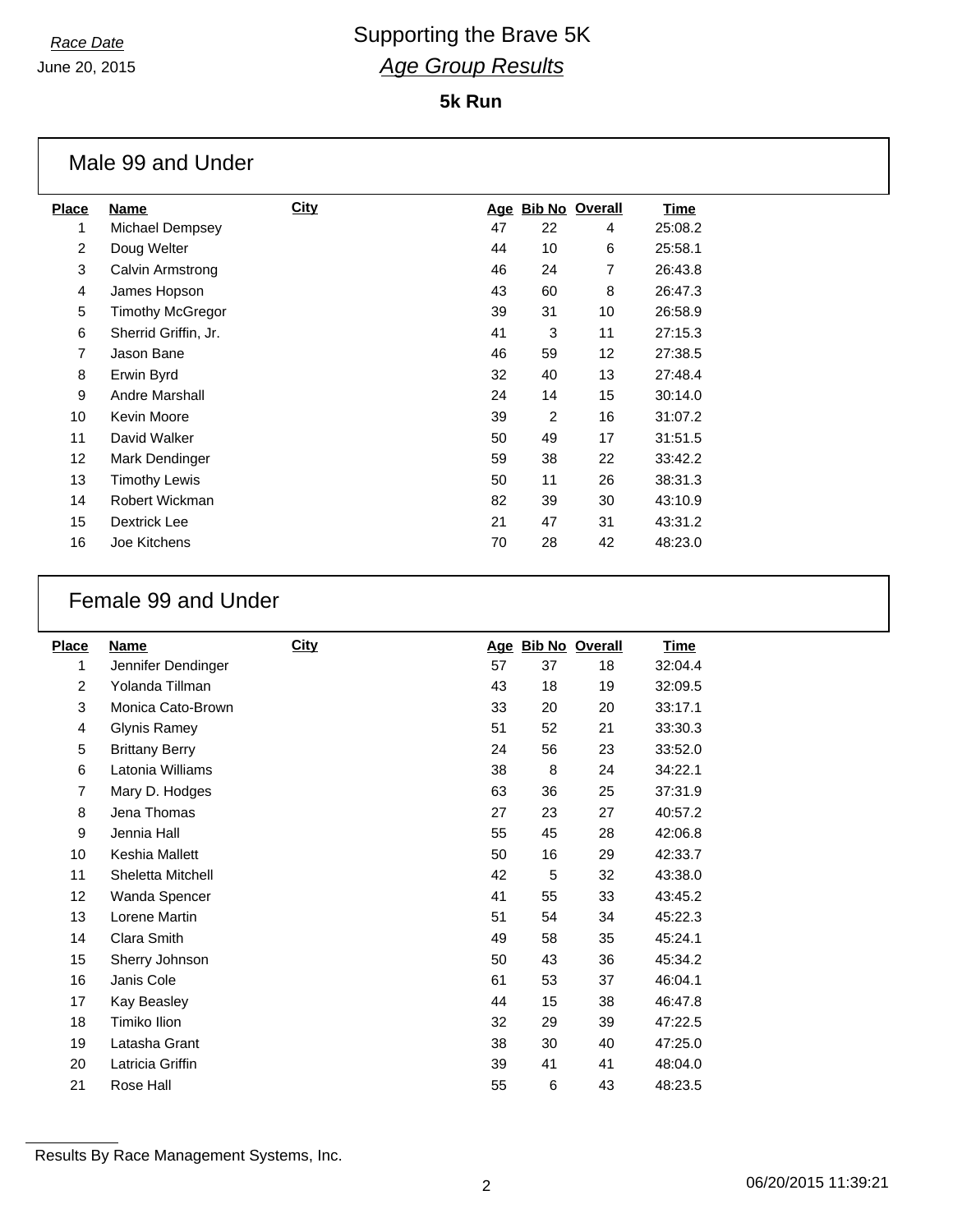## *Race Date* Supporting the Brave 5K *Age Group Results*

#### **5k Run**

|                 | Male 99 and Under       |             |    |                |                    |             |  |
|-----------------|-------------------------|-------------|----|----------------|--------------------|-------------|--|
| <b>Place</b>    | <b>Name</b>             | <b>City</b> |    |                | Age Bib No Overall | <u>Time</u> |  |
|                 | Michael Dempsey         |             | 47 | 22             | 4                  | 25:08.2     |  |
| $\overline{2}$  | Doug Welter             |             | 44 | 10             | 6                  | 25:58.1     |  |
| 3               | Calvin Armstrong        |             | 46 | 24             | 7                  | 26:43.8     |  |
| 4               | James Hopson            |             | 43 | 60             | 8                  | 26:47.3     |  |
| 5               | <b>Timothy McGregor</b> |             | 39 | 31             | 10                 | 26:58.9     |  |
| 6               | Sherrid Griffin, Jr.    |             | 41 | 3              | 11                 | 27:15.3     |  |
| $\overline{7}$  | Jason Bane              |             | 46 | 59             | 12                 | 27:38.5     |  |
| 8               | Erwin Byrd              |             | 32 | 40             | 13                 | 27:48.4     |  |
| 9               | Andre Marshall          |             | 24 | 14             | 15                 | 30:14.0     |  |
| 10              | Kevin Moore             |             | 39 | $\overline{2}$ | 16                 | 31:07.2     |  |
| 11              | David Walker            |             | 50 | 49             | 17                 | 31:51.5     |  |
| 12 <sup>2</sup> | Mark Dendinger          |             | 59 | 38             | 22                 | 33:42.2     |  |
| 13              | <b>Timothy Lewis</b>    |             | 50 | 11             | 26                 | 38:31.3     |  |
| 14              | Robert Wickman          |             | 82 | 39             | 30                 | 43:10.9     |  |
| 15              | Dextrick Lee            |             | 21 | 47             | 31                 | 43:31.2     |  |
| 16              | Joe Kitchens            |             | 70 | 28             | 42                 | 48:23.0     |  |

#### Female 99 and Under

| <b>Place</b>   | Name                  | <b>City</b> |    |    | Age Bib No Overall | <b>Time</b> |
|----------------|-----------------------|-------------|----|----|--------------------|-------------|
| 1              | Jennifer Dendinger    |             | 57 | 37 | 18                 | 32:04.4     |
| $\overline{2}$ | Yolanda Tillman       |             | 43 | 18 | 19                 | 32:09.5     |
| 3              | Monica Cato-Brown     |             | 33 | 20 | 20                 | 33:17.1     |
| 4              | <b>Glynis Ramey</b>   |             | 51 | 52 | 21                 | 33:30.3     |
| 5              | <b>Brittany Berry</b> |             | 24 | 56 | 23                 | 33:52.0     |
| 6              | Latonia Williams      |             | 38 | 8  | 24                 | 34:22.1     |
| 7              | Mary D. Hodges        |             | 63 | 36 | 25                 | 37:31.9     |
| 8              | Jena Thomas           |             | 27 | 23 | 27                 | 40:57.2     |
| 9              | Jennia Hall           |             | 55 | 45 | 28                 | 42:06.8     |
| 10             | Keshia Mallett        |             | 50 | 16 | 29                 | 42:33.7     |
| 11             | Sheletta Mitchell     |             | 42 | 5  | 32                 | 43:38.0     |
| 12             | Wanda Spencer         |             | 41 | 55 | 33                 | 43:45.2     |
| 13             | Lorene Martin         |             | 51 | 54 | 34                 | 45:22.3     |
| 14             | Clara Smith           |             | 49 | 58 | 35                 | 45:24.1     |
| 15             | Sherry Johnson        |             | 50 | 43 | 36                 | 45:34.2     |
| 16             | Janis Cole            |             | 61 | 53 | 37                 | 46:04.1     |
| 17             | Kay Beasley           |             | 44 | 15 | 38                 | 46:47.8     |
| 18             | Timiko Ilion          |             | 32 | 29 | 39                 | 47:22.5     |
| 19             | Latasha Grant         |             | 38 | 30 | 40                 | 47:25.0     |
| 20             | Latricia Griffin      |             | 39 | 41 | 41                 | 48:04.0     |
| 21             | Rose Hall             |             | 55 | 6  | 43                 | 48:23.5     |

Results By Race Management Systems, Inc.